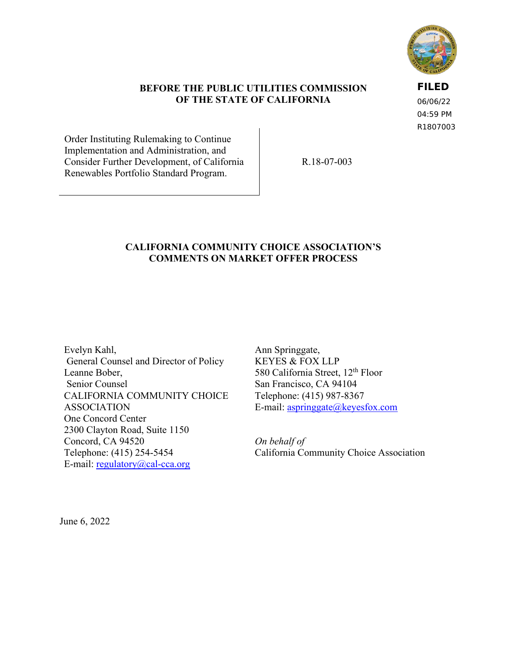

### **BEFORE THE PUBLIC UTILITIES COMMISSION OF THE STATE OF CALIFORNIA**

**FILED** 06/06/22 04:59 PM

R1807003

Order Instituting Rulemaking to Continue Implementation and Administration, and Consider Further Development, of California Renewables Portfolio Standard Program.

R.18-07-003

### **CALIFORNIA COMMUNITY CHOICE ASSOCIATION'S COMMENTS ON MARKET OFFER PROCESS**

Evelyn Kahl, General Counsel and Director of Policy Leanne Bober, Senior Counsel CALIFORNIA COMMUNITY CHOICE ASSOCIATION One Concord Center 2300 Clayton Road, Suite 1150 Concord, CA 94520 Telephone: (415) 254-5454 E-mail: [regulatory@cal-cca.org](mailto:regulatory@cal-cca.org)

Ann Springgate, KEYES & FOX LLP 580 California Street, 12<sup>th</sup> Floor San Francisco, CA 94104 Telephone: (415) 987-8367 E-mail: [aspringgate@keyesfox.com](mailto:regulatory@cal-cca.org)

*On behalf of*  California Community Choice Association

June 6, 2022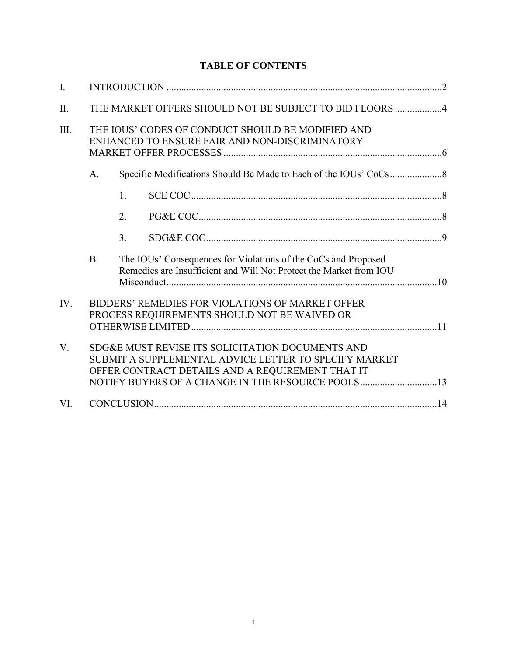# **TABLE OF CONTENTS**

| I.   |                                                                                                                                                                                                                    |                                                                                                                                      |  |  |  |  |
|------|--------------------------------------------------------------------------------------------------------------------------------------------------------------------------------------------------------------------|--------------------------------------------------------------------------------------------------------------------------------------|--|--|--|--|
| II.  | THE MARKET OFFERS SHOULD NOT BE SUBJECT TO BID FLOORS 4                                                                                                                                                            |                                                                                                                                      |  |  |  |  |
| III. | THE IOUS' CODES OF CONDUCT SHOULD BE MODIFIED AND<br>ENHANCED TO ENSURE FAIR AND NON-DISCRIMINATORY                                                                                                                |                                                                                                                                      |  |  |  |  |
|      | A.                                                                                                                                                                                                                 |                                                                                                                                      |  |  |  |  |
|      |                                                                                                                                                                                                                    | 1.                                                                                                                                   |  |  |  |  |
|      |                                                                                                                                                                                                                    | 2.                                                                                                                                   |  |  |  |  |
|      |                                                                                                                                                                                                                    | 3.                                                                                                                                   |  |  |  |  |
|      | <b>B.</b>                                                                                                                                                                                                          | The IOUs' Consequences for Violations of the CoCs and Proposed<br>Remedies are Insufficient and Will Not Protect the Market from IOU |  |  |  |  |
| IV.  | BIDDERS' REMEDIES FOR VIOLATIONS OF MARKET OFFER<br>PROCESS REQUIREMENTS SHOULD NOT BE WAIVED OR                                                                                                                   |                                                                                                                                      |  |  |  |  |
| V.   | SDG&E MUST REVISE ITS SOLICITATION DOCUMENTS AND<br>SUBMIT A SUPPLEMENTAL ADVICE LETTER TO SPECIFY MARKET<br>OFFER CONTRACT DETAILS AND A REQUIREMENT THAT IT<br>NOTIFY BUYERS OF A CHANGE IN THE RESOURCE POOLS13 |                                                                                                                                      |  |  |  |  |
| VI.  |                                                                                                                                                                                                                    |                                                                                                                                      |  |  |  |  |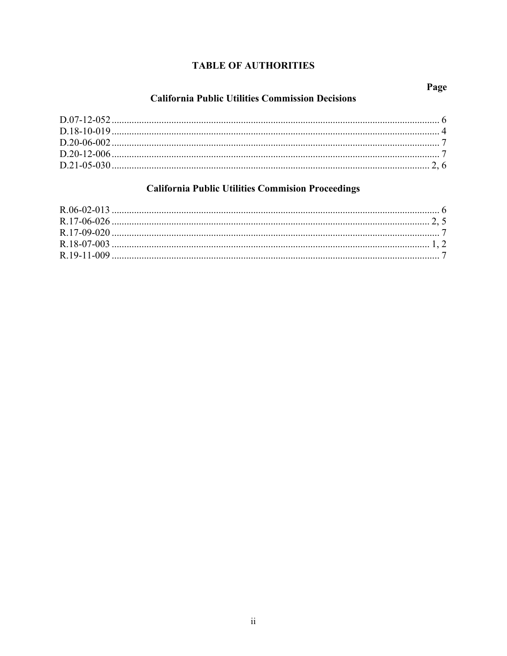# **TABLE OF AUTHORITIES**

# **California Public Utilities Commission Decisions**

# **California Public Utilities Commision Proceedings**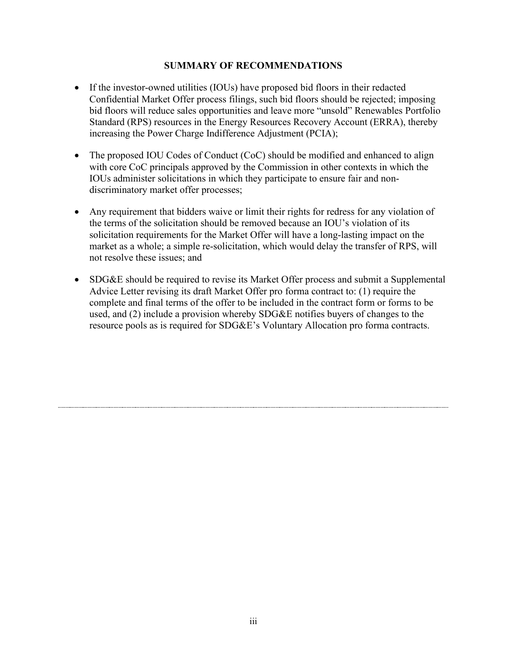### **SUMMARY OF RECOMMENDATIONS**

- If the investor-owned utilities (IOUs) have proposed bid floors in their redacted Confidential Market Offer process filings, such bid floors should be rejected; imposing bid floors will reduce sales opportunities and leave more "unsold" Renewables Portfolio Standard (RPS) resources in the Energy Resources Recovery Account (ERRA), thereby increasing the Power Charge Indifference Adjustment (PCIA);
- The proposed IOU Codes of Conduct (CoC) should be modified and enhanced to align with core CoC principals approved by the Commission in other contexts in which the IOUs administer solicitations in which they participate to ensure fair and nondiscriminatory market offer processes;
- Any requirement that bidders waive or limit their rights for redress for any violation of the terms of the solicitation should be removed because an IOU's violation of its solicitation requirements for the Market Offer will have a long-lasting impact on the market as a whole; a simple re-solicitation, which would delay the transfer of RPS, will not resolve these issues; and
- SDG&E should be required to revise its Market Offer process and submit a Supplemental Advice Letter revising its draft Market Offer pro forma contract to: (1) require the complete and final terms of the offer to be included in the contract form or forms to be used, and (2) include a provision whereby SDG&E notifies buyers of changes to the resource pools as is required for SDG&E's Voluntary Allocation pro forma contracts.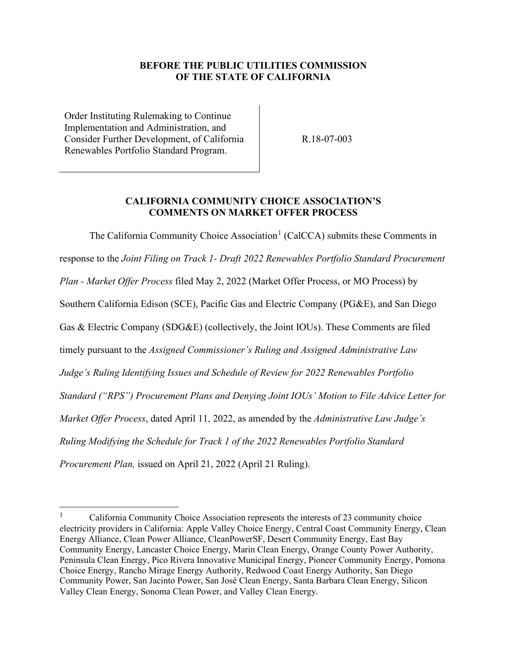### **BEFORE THE PUBLIC UTILITIES COMMISSION OF THE STATE OF CALIFORNIA**

Order Instituting Rulemaking to Continue Implementation and Administration, and Consider Further Development, of California Renewables Portfolio Standard Program.

R.18-07-003

#### **CALIFORNIA COMMUNITY CHOICE ASSOCIATION'S COMMENTS ON MARKET OFFER PROCESS**

The California Community Choice Association<sup>[1](#page-4-0)</sup> (CalCCA) submits these Comments in response to the *Joint Filing on Track 1- Draft 2022 Renewables Portfolio Standard Procurement Plan - Market Offer Process* filed May 2, 2022 (Market Offer Process, or MO Process) by Southern California Edison (SCE), Pacific Gas and Electric Company (PG&E), and San Diego Gas & Electric Company (SDG&E) (collectively, the Joint IOUs). These Comments are filed timely pursuant to the *Assigned Commissioner's Ruling and Assigned Administrative Law Judge's Ruling Identifying Issues and Schedule of Review for 2022 Renewables Portfolio Standard ("RPS") Procurement Plans and Denying Joint IOUs' Motion to File Advice Letter for Market Offer Process*, dated April 11, 2022, as amended by the *Administrative Law Judge's Ruling Modifying the Schedule for Track 1 of the 2022 Renewables Portfolio Standard Procurement Plan,* issued on April 21, 2022 (April 21 Ruling).

<span id="page-4-0"></span><sup>1</sup> California Community Choice Association represents the interests of 23 community choice electricity providers in California: Apple Valley Choice Energy, Central Coast Community Energy, Clean Energy Alliance, Clean Power Alliance, CleanPowerSF, Desert Community Energy, East Bay Community Energy, Lancaster Choice Energy, Marin Clean Energy, Orange County Power Authority, Peninsula Clean Energy, Pico Rivera Innovative Municipal Energy, Pioneer Community Energy, Pomona Choice Energy, Rancho Mirage Energy Authority, Redwood Coast Energy Authority, San Diego Community Power, San Jacinto Power, San José Clean Energy, Santa Barbara Clean Energy, Silicon Valley Clean Energy, Sonoma Clean Power, and Valley Clean Energy.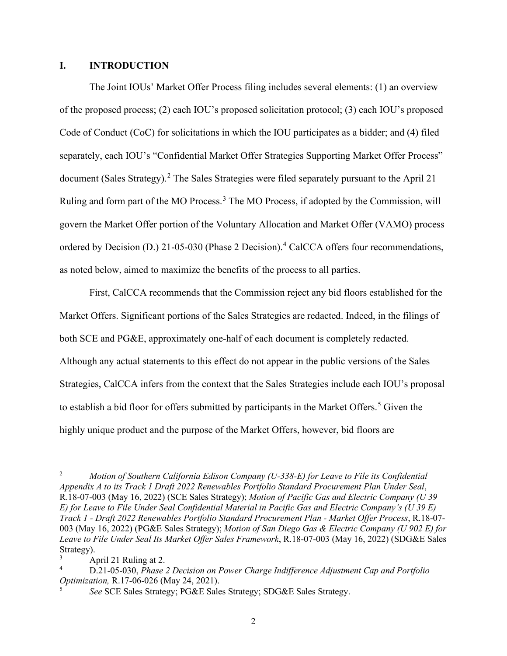#### <span id="page-5-0"></span>**I. INTRODUCTION**

The Joint IOUs' Market Offer Process filing includes several elements: (1) an overview of the proposed process; (2) each IOU's proposed solicitation protocol; (3) each IOU's proposed Code of Conduct (CoC) for solicitations in which the IOU participates as a bidder; and (4) filed separately, each IOU's "Confidential Market Offer Strategies Supporting Market Offer Process" document (Sales Strategy).<sup>[2](#page-5-1)</sup> The Sales Strategies were filed separately pursuant to the April 21 Ruling and form part of the MO Process.<sup>[3](#page-5-2)</sup> The MO Process, if adopted by the Commission, will govern the Market Offer portion of the Voluntary Allocation and Market Offer (VAMO) process ordered by Decision (D.) 21-05-030 (Phase 2 Decision).<sup>[4](#page-5-3)</sup> CalCCA offers four recommendations, as noted below, aimed to maximize the benefits of the process to all parties.

First, CalCCA recommends that the Commission reject any bid floors established for the Market Offers. Significant portions of the Sales Strategies are redacted. Indeed, in the filings of both SCE and PG&E, approximately one-half of each document is completely redacted. Although any actual statements to this effect do not appear in the public versions of the Sales Strategies, CalCCA infers from the context that the Sales Strategies include each IOU's proposal to establish a bid floor for offers submitted by participants in the Market Offers.<sup>[5](#page-5-4)</sup> Given the highly unique product and the purpose of the Market Offers, however, bid floors are

<span id="page-5-1"></span><sup>2</sup> *Motion of Southern California Edison Company (U-338-E) for Leave to File its Confidential Appendix A to its Track 1 Draft 2022 Renewables Portfolio Standard Procurement Plan Under Seal*, R.18-07-003 (May 16, 2022) (SCE Sales Strategy); *Motion of Pacific Gas and Electric Company (U 39 E) for Leave to File Under Seal Confidential Material in Pacific Gas and Electric Company's (U 39 E) Track 1 - Draft 2022 Renewables Portfolio Standard Procurement Plan - Market Offer Process*, R.18-07- 003 (May 16, 2022) (PG&E Sales Strategy); *Motion of San Diego Gas & Electric Company (U 902 E) for Leave to File Under Seal Its Market Offer Sales Framework*, R.18-07-003 (May 16, 2022) (SDG&E Sales Strategy).

<span id="page-5-2"></span>April 21 Ruling at 2.

<span id="page-5-3"></span><sup>4</sup> D.21-05-030, *Phase 2 Decision on Power Charge Indifference Adjustment Cap and Portfolio Optimization,* R.17-06-026 (May 24, 2021).

<span id="page-5-4"></span><sup>5</sup> *See* SCE Sales Strategy; PG&E Sales Strategy; SDG&E Sales Strategy.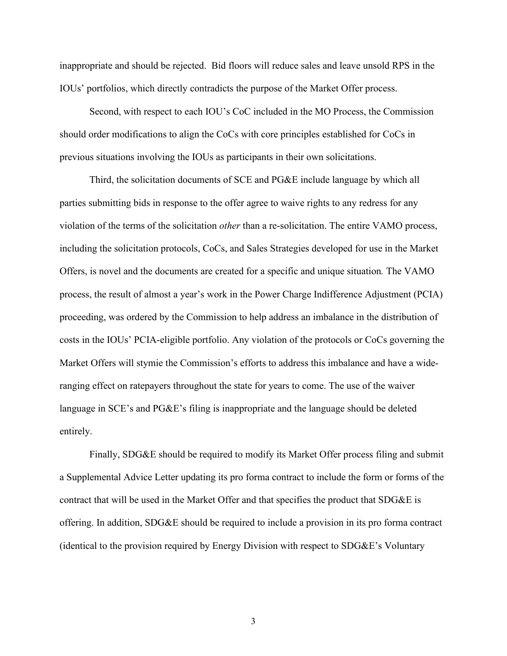inappropriate and should be rejected. Bid floors will reduce sales and leave unsold RPS in the IOUs' portfolios, which directly contradicts the purpose of the Market Offer process.

Second, with respect to each IOU's CoC included in the MO Process, the Commission should order modifications to align the CoCs with core principles established for CoCs in previous situations involving the IOUs as participants in their own solicitations.

Third, the solicitation documents of SCE and PG&E include language by which all parties submitting bids in response to the offer agree to waive rights to any redress for any violation of the terms of the solicitation *other* than a re-solicitation. The entire VAMO process, including the solicitation protocols, CoCs, and Sales Strategies developed for use in the Market Offers, is novel and the documents are created for a specific and unique situation*.* The VAMO process, the result of almost a year's work in the Power Charge Indifference Adjustment (PCIA) proceeding, was ordered by the Commission to help address an imbalance in the distribution of costs in the IOUs' PCIA-eligible portfolio. Any violation of the protocols or CoCs governing the Market Offers will stymie the Commission's efforts to address this imbalance and have a wideranging effect on ratepayers throughout the state for years to come. The use of the waiver language in SCE's and PG&E's filing is inappropriate and the language should be deleted entirely.

Finally, SDG&E should be required to modify its Market Offer process filing and submit a Supplemental Advice Letter updating its pro forma contract to include the form or forms of the contract that will be used in the Market Offer and that specifies the product that SDG&E is offering. In addition, SDG&E should be required to include a provision in its pro forma contract (identical to the provision required by Energy Division with respect to SDG&E's Voluntary

3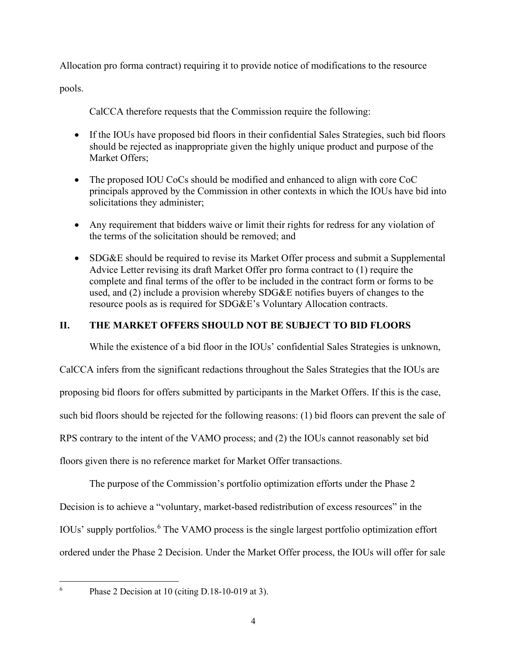Allocation pro forma contract) requiring it to provide notice of modifications to the resource

pools.

CalCCA therefore requests that the Commission require the following:

- If the IOUs have proposed bid floors in their confidential Sales Strategies, such bid floors should be rejected as inappropriate given the highly unique product and purpose of the Market Offers;
- The proposed IOU CoCs should be modified and enhanced to align with core CoC principals approved by the Commission in other contexts in which the IOUs have bid into solicitations they administer;
- Any requirement that bidders waive or limit their rights for redress for any violation of the terms of the solicitation should be removed; and
- SDG&E should be required to revise its Market Offer process and submit a Supplemental Advice Letter revising its draft Market Offer pro forma contract to (1) require the complete and final terms of the offer to be included in the contract form or forms to be used, and (2) include a provision whereby SDG&E notifies buyers of changes to the resource pools as is required for SDG&E's Voluntary Allocation contracts.

## <span id="page-7-0"></span>**II. THE MARKET OFFERS SHOULD NOT BE SUBJECT TO BID FLOORS**

While the existence of a bid floor in the IOUs' confidential Sales Strategies is unknown,

CalCCA infers from the significant redactions throughout the Sales Strategies that the IOUs are proposing bid floors for offers submitted by participants in the Market Offers. If this is the case, such bid floors should be rejected for the following reasons: (1) bid floors can prevent the sale of RPS contrary to the intent of the VAMO process; and (2) the IOUs cannot reasonably set bid floors given there is no reference market for Market Offer transactions.

The purpose of the Commission's portfolio optimization efforts under the Phase 2 Decision is to achieve a "voluntary, market-based redistribution of excess resources" in the IOUs' supply portfolios.<sup>[6](#page-7-1)</sup> The VAMO process is the single largest portfolio optimization effort ordered under the Phase 2 Decision. Under the Market Offer process, the IOUs will offer for sale

<span id="page-7-1"></span>6

Phase 2 Decision at 10 (citing D.18-10-019 at 3).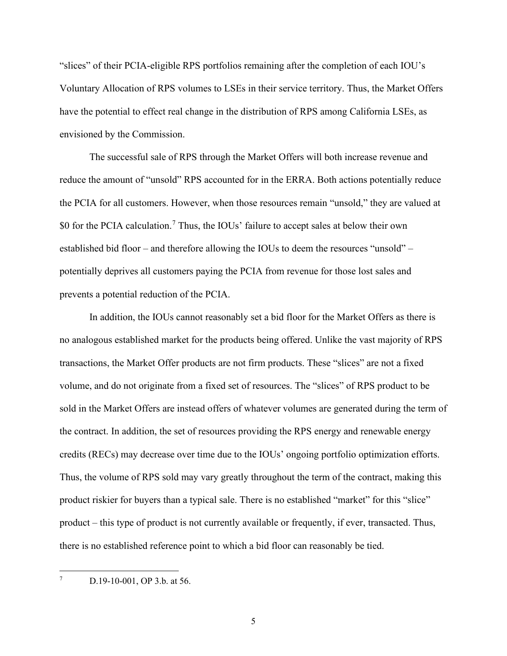"slices" of their PCIA-eligible RPS portfolios remaining after the completion of each IOU's Voluntary Allocation of RPS volumes to LSEs in their service territory. Thus, the Market Offers have the potential to effect real change in the distribution of RPS among California LSEs, as envisioned by the Commission.

The successful sale of RPS through the Market Offers will both increase revenue and reduce the amount of "unsold" RPS accounted for in the ERRA. Both actions potentially reduce the PCIA for all customers. However, when those resources remain "unsold," they are valued at \$0 for the PCIA calculation.<sup>[7](#page-8-0)</sup> Thus, the IOUs' failure to accept sales at below their own established bid floor – and therefore allowing the IOUs to deem the resources "unsold" – potentially deprives all customers paying the PCIA from revenue for those lost sales and prevents a potential reduction of the PCIA.

In addition, the IOUs cannot reasonably set a bid floor for the Market Offers as there is no analogous established market for the products being offered. Unlike the vast majority of RPS transactions, the Market Offer products are not firm products. These "slices" are not a fixed volume, and do not originate from a fixed set of resources. The "slices" of RPS product to be sold in the Market Offers are instead offers of whatever volumes are generated during the term of the contract. In addition, the set of resources providing the RPS energy and renewable energy credits (RECs) may decrease over time due to the IOUs' ongoing portfolio optimization efforts. Thus, the volume of RPS sold may vary greatly throughout the term of the contract, making this product riskier for buyers than a typical sale. There is no established "market" for this "slice" product – this type of product is not currently available or frequently, if ever, transacted. Thus, there is no established reference point to which a bid floor can reasonably be tied.

<span id="page-8-0"></span>7 D.19-10-001, OP 3.b. at 56.

5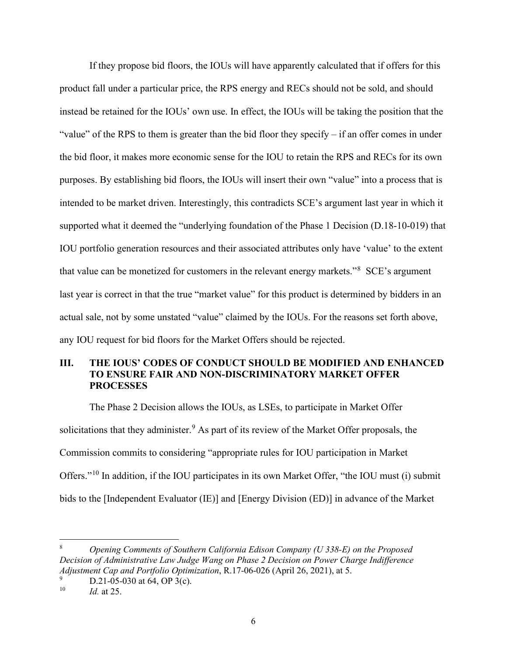If they propose bid floors, the IOUs will have apparently calculated that if offers for this product fall under a particular price, the RPS energy and RECs should not be sold, and should instead be retained for the IOUs' own use. In effect, the IOUs will be taking the position that the "value" of the RPS to them is greater than the bid floor they specify – if an offer comes in under the bid floor, it makes more economic sense for the IOU to retain the RPS and RECs for its own purposes. By establishing bid floors, the IOUs will insert their own "value" into a process that is intended to be market driven. Interestingly, this contradicts SCE's argument last year in which it supported what it deemed the "underlying foundation of the Phase 1 Decision (D.18-10-019) that IOU portfolio generation resources and their associated attributes only have 'value' to the extent that value can be monetized for customers in the relevant energy markets."<sup>[8](#page-9-1)</sup> SCE's argument last year is correct in that the true "market value" for this product is determined by bidders in an actual sale, not by some unstated "value" claimed by the IOUs. For the reasons set forth above, any IOU request for bid floors for the Market Offers should be rejected.

### <span id="page-9-0"></span>**III. THE IOUS' CODES OF CONDUCT SHOULD BE MODIFIED AND ENHANCED TO ENSURE FAIR AND NON-DISCRIMINATORY MARKET OFFER PROCESSES**

The Phase 2 Decision allows the IOUs, as LSEs, to participate in Market Offer solicitations that they administer.<sup>[9](#page-9-2)</sup> As part of its review of the Market Offer proposals, the Commission commits to considering "appropriate rules for IOU participation in Market Offers."[10](#page-9-3) In addition, if the IOU participates in its own Market Offer, "the IOU must (i) submit bids to the [Independent Evaluator (IE)] and [Energy Division (ED)] in advance of the Market

<span id="page-9-1"></span><sup>8</sup> *Opening Comments of Southern California Edison Company (U 338-E) on the Proposed Decision of Administrative Law Judge Wang on Phase 2 Decision on Power Charge Indifference Adjustment Cap and Portfolio Optimization*, R.17-06-026 (April 26, 2021), at 5.

<span id="page-9-3"></span><span id="page-9-2"></span><sup>9</sup>  $D.21-05-030$  at 64, OP 3(c).<br>  $D = 10$  at 25

*Id.* at 25.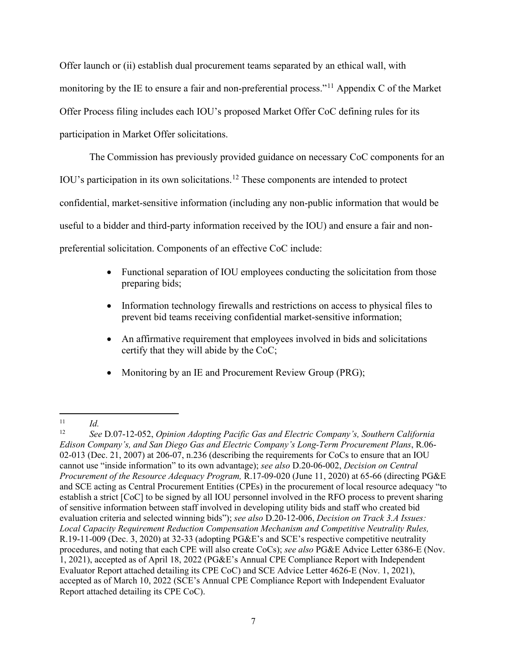Offer launch or (ii) establish dual procurement teams separated by an ethical wall, with monitoring by the IE to ensure a fair and non-preferential process."<sup>11</sup> Appendix C of the Market Offer Process filing includes each IOU's proposed Market Offer CoC defining rules for its participation in Market Offer solicitations.

The Commission has previously provided guidance on necessary CoC components for an IOU's participation in its own solicitations. [12](#page-10-1) These components are intended to protect confidential, market-sensitive information (including any non-public information that would be useful to a bidder and third-party information received by the IOU) and ensure a fair and nonpreferential solicitation. Components of an effective CoC include:

- Functional separation of IOU employees conducting the solicitation from those preparing bids;
- Information technology firewalls and restrictions on access to physical files to prevent bid teams receiving confidential market-sensitive information;
- An affirmative requirement that employees involved in bids and solicitations certify that they will abide by the CoC;
- Monitoring by an IE and Procurement Review Group (PRG);

<span id="page-10-0"></span> $\frac{11}{12}$  *Id.* 

<span id="page-10-1"></span><sup>12</sup> *See* D.07-12-052, *Opinion Adopting Pacific Gas and Electric Company's, Southern California Edison Company's, and San Diego Gas and Electric Company's Long-Term Procurement Plans*, R.06- 02-013 (Dec. 21, 2007) at 206-07, n.236 (describing the requirements for CoCs to ensure that an IOU cannot use "inside information" to its own advantage); *see also* D.20-06-002, *Decision on Central Procurement of the Resource Adequacy Program,* R.17-09-020 (June 11, 2020) at 65-66 (directing PG&E and SCE acting as Central Procurement Entities (CPEs) in the procurement of local resource adequacy "to establish a strict [CoC] to be signed by all IOU personnel involved in the RFO process to prevent sharing of sensitive information between staff involved in developing utility bids and staff who created bid evaluation criteria and selected winning bids"); *see also* D.20-12-006, *Decision on Track 3.A Issues: Local Capacity Requirement Reduction Compensation Mechanism and Competitive Neutrality Rules,* R.19-11-009 (Dec. 3, 2020) at 32-33 (adopting PG&E's and SCE's respective competitive neutrality procedures, and noting that each CPE will also create CoCs); *see also* PG&E Advice Letter 6386-E (Nov. 1, 2021), accepted as of April 18, 2022 (PG&E's Annual CPE Compliance Report with Independent Evaluator Report attached detailing its CPE CoC) and SCE Advice Letter 4626-E (Nov. 1, 2021), accepted as of March 10, 2022 (SCE's Annual CPE Compliance Report with Independent Evaluator Report attached detailing its CPE CoC).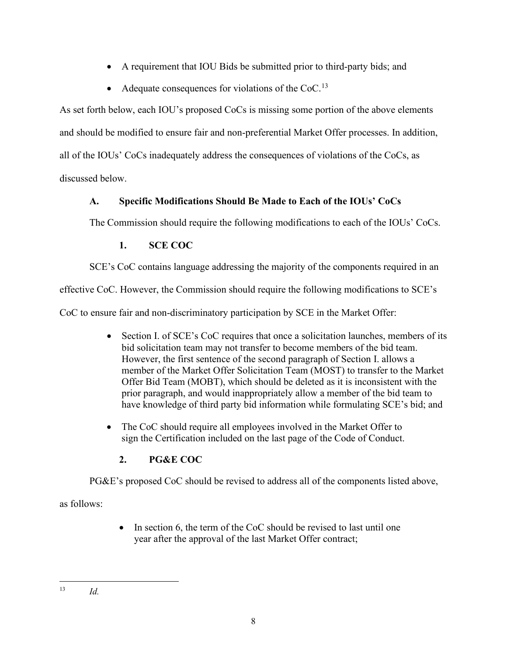- A requirement that IOU Bids be submitted prior to third-party bids; and
- Adequate consequences for violations of the  $CoC<sup>13</sup>$  $CoC<sup>13</sup>$  $CoC<sup>13</sup>$

As set forth below, each IOU's proposed CoCs is missing some portion of the above elements and should be modified to ensure fair and non-preferential Market Offer processes. In addition, all of the IOUs' CoCs inadequately address the consequences of violations of the CoCs, as discussed below.

# <span id="page-11-0"></span>**A. Specific Modifications Should Be Made to Each of the IOUs' CoCs**

The Commission should require the following modifications to each of the IOUs' CoCs.

# **1. SCE COC**

<span id="page-11-1"></span>SCE's CoC contains language addressing the majority of the components required in an

effective CoC. However, the Commission should require the following modifications to SCE's

CoC to ensure fair and non-discriminatory participation by SCE in the Market Offer:

- Section I. of SCE's CoC requires that once a solicitation launches, members of its bid solicitation team may not transfer to become members of the bid team. However, the first sentence of the second paragraph of Section I. allows a member of the Market Offer Solicitation Team (MOST) to transfer to the Market Offer Bid Team (MOBT), which should be deleted as it is inconsistent with the prior paragraph, and would inappropriately allow a member of the bid team to have knowledge of third party bid information while formulating SCE's bid; and
- The CoC should require all employees involved in the Market Offer to sign the Certification included on the last page of the Code of Conduct.

# **2. PG&E COC**

<span id="page-11-2"></span>PG&E's proposed CoC should be revised to address all of the components listed above,

as follows:

• In section 6, the term of the CoC should be revised to last until one year after the approval of the last Market Offer contract;

<span id="page-11-3"></span> $13$  *Id.*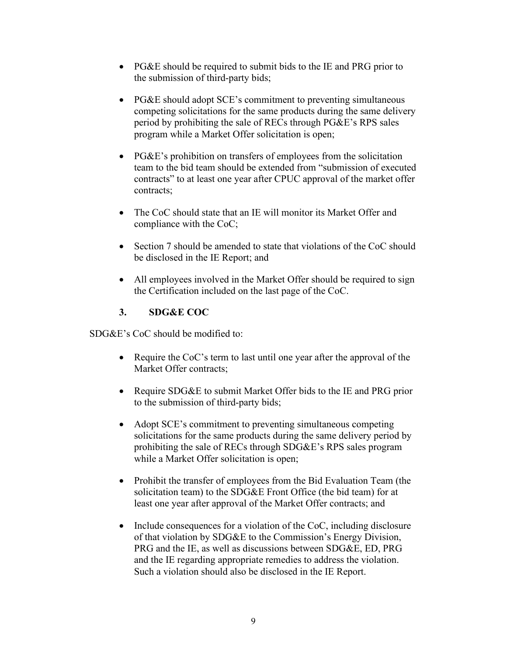- PG&E should be required to submit bids to the IE and PRG prior to the submission of third-party bids;
- PG&E should adopt SCE's commitment to preventing simultaneous competing solicitations for the same products during the same delivery period by prohibiting the sale of RECs through PG&E's RPS sales program while a Market Offer solicitation is open;
- PG&E's prohibition on transfers of employees from the solicitation team to the bid team should be extended from "submission of executed contracts" to at least one year after CPUC approval of the market offer contracts;
- The CoC should state that an IE will monitor its Market Offer and compliance with the CoC;
- Section 7 should be amended to state that violations of the CoC should be disclosed in the IE Report; and
- All employees involved in the Market Offer should be required to sign the Certification included on the last page of the CoC.

# **3. SDG&E COC**

<span id="page-12-0"></span>SDG&E's CoC should be modified to:

- Require the CoC's term to last until one year after the approval of the Market Offer contracts;
- Require SDG&E to submit Market Offer bids to the IE and PRG prior to the submission of third-party bids;
- Adopt SCE's commitment to preventing simultaneous competing solicitations for the same products during the same delivery period by prohibiting the sale of RECs through SDG&E's RPS sales program while a Market Offer solicitation is open;
- Prohibit the transfer of employees from the Bid Evaluation Team (the solicitation team) to the SDG&E Front Office (the bid team) for at least one year after approval of the Market Offer contracts; and
- Include consequences for a violation of the CoC, including disclosure of that violation by SDG&E to the Commission's Energy Division, PRG and the IE, as well as discussions between SDG&E, ED, PRG and the IE regarding appropriate remedies to address the violation. Such a violation should also be disclosed in the IE Report.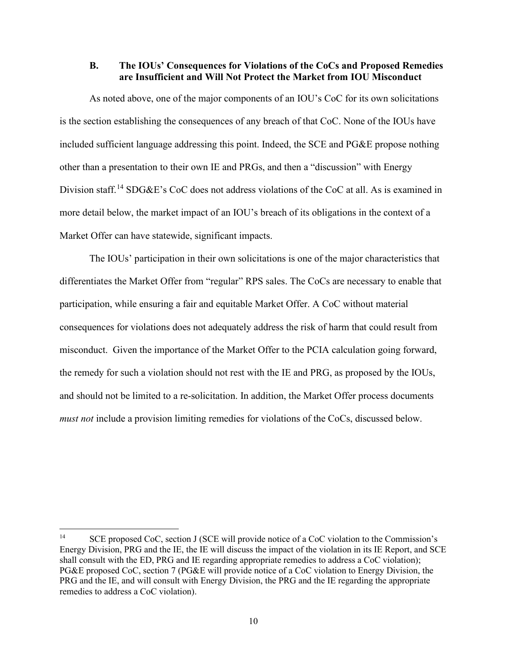#### <span id="page-13-0"></span>**B. The IOUs' Consequences for Violations of the CoCs and Proposed Remedies are Insufficient and Will Not Protect the Market from IOU Misconduct**

As noted above, one of the major components of an IOU's CoC for its own solicitations is the section establishing the consequences of any breach of that CoC. None of the IOUs have included sufficient language addressing this point. Indeed, the SCE and PG&E propose nothing other than a presentation to their own IE and PRGs, and then a "discussion" with Energy Division staff.<sup>[14](#page-13-1)</sup> SDG&E's CoC does not address violations of the CoC at all. As is examined in more detail below, the market impact of an IOU's breach of its obligations in the context of a Market Offer can have statewide, significant impacts.

The IOUs' participation in their own solicitations is one of the major characteristics that differentiates the Market Offer from "regular" RPS sales. The CoCs are necessary to enable that participation, while ensuring a fair and equitable Market Offer. A CoC without material consequences for violations does not adequately address the risk of harm that could result from misconduct. Given the importance of the Market Offer to the PCIA calculation going forward, the remedy for such a violation should not rest with the IE and PRG, as proposed by the IOUs, and should not be limited to a re-solicitation. In addition, the Market Offer process documents *must not* include a provision limiting remedies for violations of the CoCs, discussed below.

<span id="page-13-1"></span><sup>&</sup>lt;sup>14</sup> SCE proposed CoC, section J (SCE will provide notice of a CoC violation to the Commission's Energy Division, PRG and the IE, the IE will discuss the impact of the violation in its IE Report, and SCE shall consult with the ED, PRG and IE regarding appropriate remedies to address a CoC violation); PG&E proposed CoC, section 7 (PG&E will provide notice of a CoC violation to Energy Division, the PRG and the IE, and will consult with Energy Division, the PRG and the IE regarding the appropriate remedies to address a CoC violation).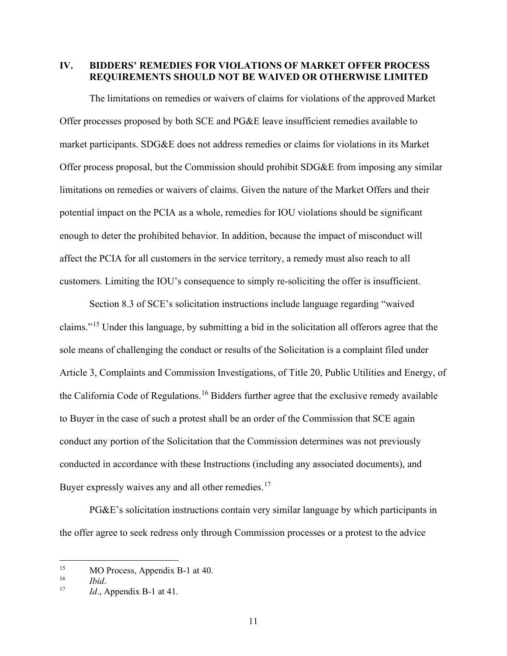<span id="page-14-0"></span>**IV. BIDDERS' REMEDIES FOR VIOLATIONS OF MARKET OFFER PROCESS REQUIREMENTS SHOULD NOT BE WAIVED OR OTHERWISE LIMITED** 

The limitations on remedies or waivers of claims for violations of the approved Market Offer processes proposed by both SCE and PG&E leave insufficient remedies available to market participants. SDG&E does not address remedies or claims for violations in its Market Offer process proposal, but the Commission should prohibit SDG&E from imposing any similar limitations on remedies or waivers of claims. Given the nature of the Market Offers and their potential impact on the PCIA as a whole, remedies for IOU violations should be significant enough to deter the prohibited behavior. In addition, because the impact of misconduct will affect the PCIA for all customers in the service territory, a remedy must also reach to all customers. Limiting the IOU's consequence to simply re-soliciting the offer is insufficient.

Section 8.3 of SCE's solicitation instructions include language regarding "waived claims."[15](#page-14-1) Under this language, by submitting a bid in the solicitation all offerors agree that the sole means of challenging the conduct or results of the Solicitation is a complaint filed under Article 3, Complaints and Commission Investigations, of Title 20, Public Utilities and Energy, of the California Code of Regulations.<sup>16</sup> Bidders further agree that the exclusive remedy available to Buyer in the case of such a protest shall be an order of the Commission that SCE again conduct any portion of the Solicitation that the Commission determines was not previously conducted in accordance with these Instructions (including any associated documents), and Buyer expressly waives any and all other remedies.<sup>[17](#page-14-3)</sup>

PG&E's solicitation instructions contain very similar language by which participants in the offer agree to seek redress only through Commission processes or a protest to the advice

<span id="page-14-1"></span><sup>&</sup>lt;sup>15</sup> MO Process, Appendix B-1 at 40.<br>
<sup>16</sup> *Ibid* 

<span id="page-14-3"></span><span id="page-14-2"></span><sup>16</sup>*Ibid*. 17 *Id*., Appendix B-1 at 41.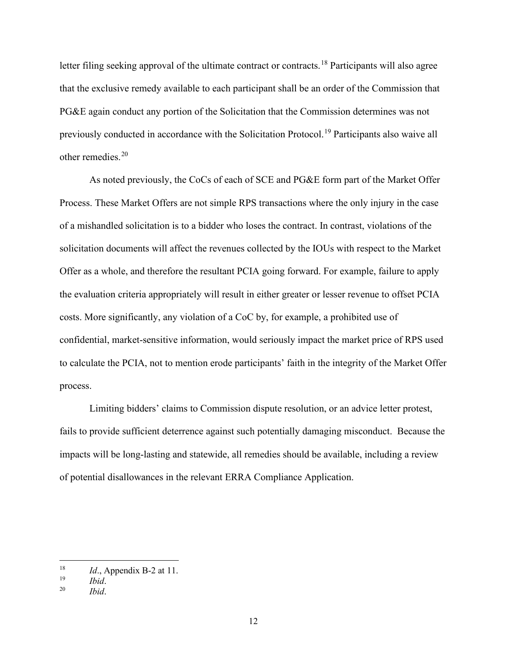letter filing seeking approval of the ultimate contract or contracts.<sup>[18](#page-15-0)</sup> Participants will also agree that the exclusive remedy available to each participant shall be an order of the Commission that PG&E again conduct any portion of the Solicitation that the Commission determines was not previously conducted in accordance with the Solicitation Protocol.[19](#page-15-1) Participants also waive all other remedies.[20](#page-15-2)

As noted previously, the CoCs of each of SCE and PG&E form part of the Market Offer Process. These Market Offers are not simple RPS transactions where the only injury in the case of a mishandled solicitation is to a bidder who loses the contract. In contrast, violations of the solicitation documents will affect the revenues collected by the IOUs with respect to the Market Offer as a whole, and therefore the resultant PCIA going forward. For example, failure to apply the evaluation criteria appropriately will result in either greater or lesser revenue to offset PCIA costs. More significantly, any violation of a CoC by, for example, a prohibited use of confidential, market-sensitive information, would seriously impact the market price of RPS used to calculate the PCIA, not to mention erode participants' faith in the integrity of the Market Offer process.

Limiting bidders' claims to Commission dispute resolution, or an advice letter protest, fails to provide sufficient deterrence against such potentially damaging misconduct. Because the impacts will be long-lasting and statewide, all remedies should be available, including a review of potential disallowances in the relevant ERRA Compliance Application.

<span id="page-15-0"></span><sup>&</sup>lt;sup>18</sup> *Id.*, Appendix B-2 at 11.<br> $\frac{19}{16d}$ 

<span id="page-15-2"></span><span id="page-15-1"></span><sup>19</sup>*Ibid*. 20 *Ibid*.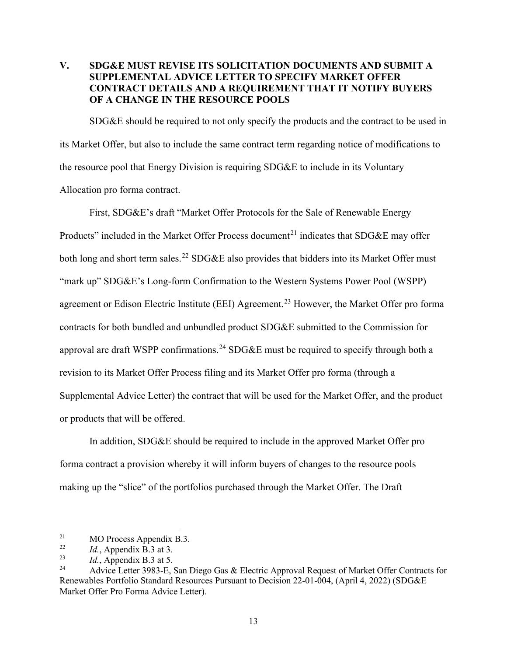## <span id="page-16-0"></span>**V. SDG&E MUST REVISE ITS SOLICITATION DOCUMENTS AND SUBMIT A SUPPLEMENTAL ADVICE LETTER TO SPECIFY MARKET OFFER CONTRACT DETAILS AND A REQUIREMENT THAT IT NOTIFY BUYERS OF A CHANGE IN THE RESOURCE POOLS**

SDG&E should be required to not only specify the products and the contract to be used in its Market Offer, but also to include the same contract term regarding notice of modifications to the resource pool that Energy Division is requiring SDG&E to include in its Voluntary Allocation pro forma contract.

First, SDG&E's draft "Market Offer Protocols for the Sale of Renewable Energy Products" included in the Market Offer Process document<sup>[21](#page-16-1)</sup> indicates that SDG&E may offer both long and short term sales.<sup>[22](#page-16-2)</sup> SDG&E also provides that bidders into its Market Offer must "mark up" SDG&E's Long-form Confirmation to the Western Systems Power Pool (WSPP) agreement or Edison Electric Institute (EEI) Agreement.<sup>23</sup> However, the Market Offer pro forma contracts for both bundled and unbundled product SDG&E submitted to the Commission for approval are draft WSPP confirmations.<sup>[24](#page-16-4)</sup> SDG&E must be required to specify through both a revision to its Market Offer Process filing and its Market Offer pro forma (through a Supplemental Advice Letter) the contract that will be used for the Market Offer, and the product or products that will be offered.

In addition, SDG&E should be required to include in the approved Market Offer pro forma contract a provision whereby it will inform buyers of changes to the resource pools making up the "slice" of the portfolios purchased through the Market Offer. The Draft

<span id="page-16-1"></span><sup>&</sup>lt;sup>21</sup> MO Process Appendix B.3.<br><sup>22</sup> *M* Appendix B.3 at 3

<span id="page-16-2"></span><sup>&</sup>lt;sup>22</sup> *Id.*, Appendix B.3 at 3.<br> *Id.* Appendix B.3 at 5.

<span id="page-16-3"></span><sup>&</sup>lt;sup>23</sup> *Id.*, Appendix B.3 at 5.<br> $\frac{24}{9}$  Advice Letter 3083 E

<span id="page-16-4"></span><sup>24</sup> Advice Letter 3983-E, San Diego Gas & Electric Approval Request of Market Offer Contracts for Renewables Portfolio Standard Resources Pursuant to Decision 22-01-004, (April 4, 2022) (SDG&E Market Offer Pro Forma Advice Letter).